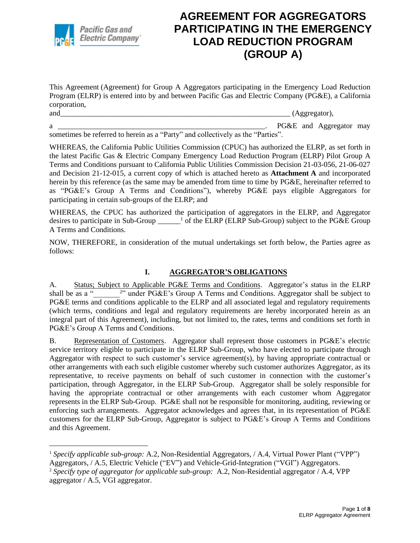

This Agreement (Agreement) for Group A Aggregators participating in the Emergency Load Reduction Program (ELRP) is entered into by and between Pacific Gas and Electric Company (PG&E), a California corporation,

and\_\_\_\_\_\_\_\_\_\_\_\_\_\_\_\_\_\_\_\_\_\_\_\_\_\_\_\_\_\_\_\_\_\_\_\_\_\_\_\_\_\_\_\_\_\_\_\_\_\_\_\_\_\_\_\_\_\_\_\_\_ (Aggregator),

a \_\_\_\_\_\_\_\_\_\_\_\_\_\_\_\_\_\_\_\_\_\_\_\_\_\_\_\_\_\_\_\_\_\_\_\_\_\_\_\_\_\_\_\_\_\_\_\_\_\_\_\_\_\_\_. PG&E and Aggregator may sometimes be referred to herein as a "Party" and collectively as the "Parties".

WHEREAS, the California Public Utilities Commission (CPUC) has authorized the ELRP, as set forth in the latest Pacific Gas & Electric Company Emergency Load Reduction Program (ELRP) Pilot Group A Terms and Conditions pursuant to California Public Utilities Commission Decision 21-03-056, 21-06-027 and Decision 21-12-015, a current copy of which is attached hereto as **Attachment A** and incorporated herein by this reference (as the same may be amended from time to time by PG&E, hereinafter referred to as "PG&E's Group A Terms and Conditions"), whereby PG&E pays eligible Aggregators for participating in certain sub-groups of the ELRP; and

WHEREAS, the CPUC has authorized the participation of aggregators in the ELRP, and Aggregator desires to participate in Sub-Group \_\_\_\_\_<sup>1</sup> of the ELRP (ELRP Sub-Group) subject to the PG&E Group A Terms and Conditions.

NOW, THEREFORE, in consideration of the mutual undertakings set forth below, the Parties agree as follows:

#### **I. AGGREGATOR'S OBLIGATIONS**

A. Status; Subject to Applicable PG&E Terms and Conditions. Aggregator's status in the ELRP shall be as a " <sup>2</sup>" under PG&E's Group A Terms and Conditions. Aggregator shall be subject to PG&E terms and conditions applicable to the ELRP and all associated legal and regulatory requirements (which terms, conditions and legal and regulatory requirements are hereby incorporated herein as an integral part of this Agreement), including, but not limited to, the rates, terms and conditions set forth in PG&E's Group A Terms and Conditions.

B. Representation of Customers. Aggregator shall represent those customers in PG&E's electric service territory eligible to participate in the ELRP Sub-Group, who have elected to participate through Aggregator with respect to such customer's service agreement(s), by having appropriate contractual or other arrangements with each such eligible customer whereby such customer authorizes Aggregator, as its representative, to receive payments on behalf of such customer in connection with the customer's participation, through Aggregator, in the ELRP Sub-Group. Aggregator shall be solely responsible for having the appropriate contractual or other arrangements with each customer whom Aggregator represents in the ELRP Sub-Group. PG&E shall not be responsible for monitoring, auditing, reviewing or enforcing such arrangements. Aggregator acknowledges and agrees that, in its representation of PG&E customers for the ELRP Sub-Group, Aggregator is subject to PG&E's Group A Terms and Conditions and this Agreement.

<sup>&</sup>lt;sup>1</sup> Specify applicable sub-group: A.2, Non-Residential Aggregators, / A.4, Virtual Power Plant ("VPP")

Aggregators, / A.5, Electric Vehicle ("EV") and Vehicle-Grid-Integration ("VGI") Aggregators.

<sup>2</sup> *Specify type of aggregator for applicable sub-group:* A.2, Non-Residential aggregator / A.4, VPP aggregator / A.5, VGI aggregator.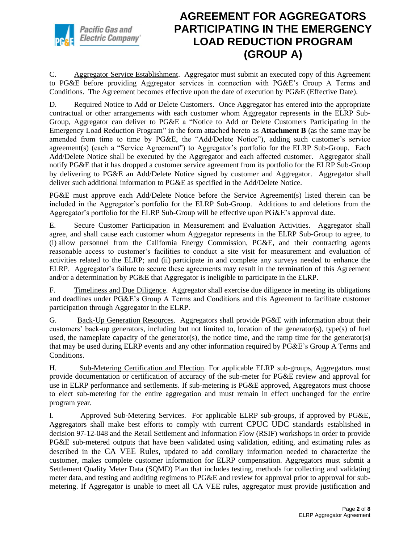

C. Aggregator Service Establishment. Aggregator must submit an executed copy of this Agreement to PG&E before providing Aggregator services in connection with PG&E's Group A Terms and Conditions. The Agreement becomes effective upon the date of execution by PG&E (Effective Date).

D. Required Notice to Add or Delete Customers. Once Aggregator has entered into the appropriate contractual or other arrangements with each customer whom Aggregator represents in the ELRP Sub-Group, Aggregator can deliver to PG&E a "Notice to Add or Delete Customers Participating in the Emergency Load Reduction Program" in the form attached hereto as **Attachment B** (as the same may be amended from time to time by PG&E, the "Add/Delete Notice"), adding such customer's service agreement(s) (each a "Service Agreement") to Aggregator's portfolio for the ELRP Sub-Group. Each Add/Delete Notice shall be executed by the Aggregator and each affected customer. Aggregator shall notify PG&E that it has dropped a customer service agreement from its portfolio for the ELRP Sub-Group by delivering to PG&E an Add/Delete Notice signed by customer and Aggregator. Aggregator shall deliver such additional information to PG&E as specified in the Add/Delete Notice.

PG&E must approve each Add/Delete Notice before the Service Agreement(s) listed therein can be included in the Aggregator's portfolio for the ELRP Sub-Group. Additions to and deletions from the Aggregator's portfolio for the ELRP Sub-Group will be effective upon PG&E's approval date.

E. Secure Customer Participation in Measurement and Evaluation Activities. Aggregator shall agree, and shall cause each customer whom Aggregator represents in the ELRP Sub-Group to agree, to (i) allow personnel from the California Energy Commission, PG&E, and their contracting agents reasonable access to customer's facilities to conduct a site visit for measurement and evaluation of activities related to the ELRP; and (ii) participate in and complete any surveys needed to enhance the ELRP. Aggregator's failure to secure these agreements may result in the termination of this Agreement and/or a determination by PG&E that Aggregator is ineligible to participate in the ELRP.

F. Timeliness and Due Diligence. Aggregator shall exercise due diligence in meeting its obligations and deadlines under PG&E's Group A Terms and Conditions and this Agreement to facilitate customer participation through Aggregator in the ELRP.

G. Back-Up Generation Resources. Aggregators shall provide PG&E with information about their customers' back-up generators, including but not limited to, location of the generator(s), type(s) of fuel used, the nameplate capacity of the generator(s), the notice time, and the ramp time for the generator(s) that may be used during ELRP events and any other information required by PG&E's Group A Terms and Conditions.

H. Sub-Metering Certification and Election. For applicable ELRP sub-groups, Aggregators must provide documentation or certification of accuracy of the sub-meter for PG&E review and approval for use in ELRP performance and settlements. If sub-metering is PG&E approved, Aggregators must choose to elect sub-metering for the entire aggregation and must remain in effect unchanged for the entire program year.

I. Approved Sub-Metering Services. For applicable ELRP sub-groups, if approved by PG&E, Aggregators shall make best efforts to comply with current CPUC UDC standards established in decision 97-12-048 and the Retail Settlement and Information Flow (RSIF) workshops in order to provide PG&E sub-metered outputs that have been validated using validation, editing, and estimating rules as described in the CA VEE Rules, updated to add corollary information needed to characterize the customer, makes complete customer information for ELRP compensation. Aggregators must submit a Settlement Quality Meter Data (SQMD) Plan that includes testing, methods for collecting and validating meter data, and testing and auditing regimens to PG&E and review for approval prior to approval for submetering. If Aggregator is unable to meet all CA VEE rules, aggregator must provide justification and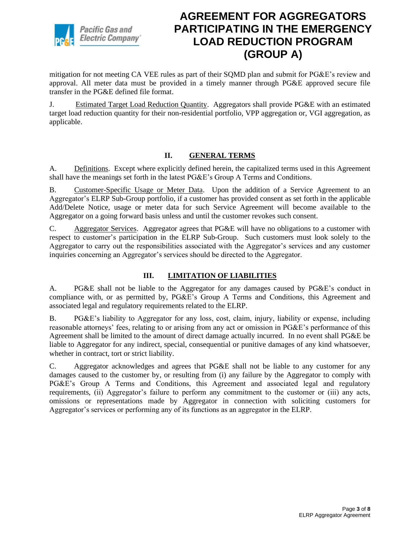

mitigation for not meeting CA VEE rules as part of their SQMD plan and submit for PG&E's review and approval. All meter data must be provided in a timely manner through PG&E approved secure file transfer in the PG&E defined file format.

J. Estimated Target Load Reduction Quantity. Aggregators shall provide PG&E with an estimated target load reduction quantity for their non-residential portfolio, VPP aggregation or, VGI aggregation, as applicable.

#### **II. GENERAL TERMS**

A. Definitions. Except where explicitly defined herein, the capitalized terms used in this Agreement shall have the meanings set forth in the latest PG&E's Group A Terms and Conditions.

B. Customer-Specific Usage or Meter Data. Upon the addition of a Service Agreement to an Aggregator's ELRP Sub-Group portfolio, if a customer has provided consent as set forth in the applicable Add/Delete Notice, usage or meter data for such Service Agreement will become available to the Aggregator on a going forward basis unless and until the customer revokes such consent.

C. Aggregator Services. Aggregator agrees that PG&E will have no obligations to a customer with respect to customer's participation in the ELRP Sub-Group. Such customers must look solely to the Aggregator to carry out the responsibilities associated with the Aggregator's services and any customer inquiries concerning an Aggregator's services should be directed to the Aggregator.

#### **III. LIMITATION OF LIABILITIES**

A. PG&E shall not be liable to the Aggregator for any damages caused by PG&E's conduct in compliance with, or as permitted by, PG&E's Group A Terms and Conditions, this Agreement and associated legal and regulatory requirements related to the ELRP.

B. PG&E's liability to Aggregator for any loss, cost, claim, injury, liability or expense, including reasonable attorneys' fees, relating to or arising from any act or omission in PG&E's performance of this Agreement shall be limited to the amount of direct damage actually incurred. In no event shall PG&E be liable to Aggregator for any indirect, special, consequential or punitive damages of any kind whatsoever, whether in contract, tort or strict liability.

C. Aggregator acknowledges and agrees that PG&E shall not be liable to any customer for any damages caused to the customer by, or resulting from (i) any failure by the Aggregator to comply with PG&E's Group A Terms and Conditions, this Agreement and associated legal and regulatory requirements, (ii) Aggregator's failure to perform any commitment to the customer or (iii) any acts, omissions or representations made by Aggregator in connection with soliciting customers for Aggregator's services or performing any of its functions as an aggregator in the ELRP.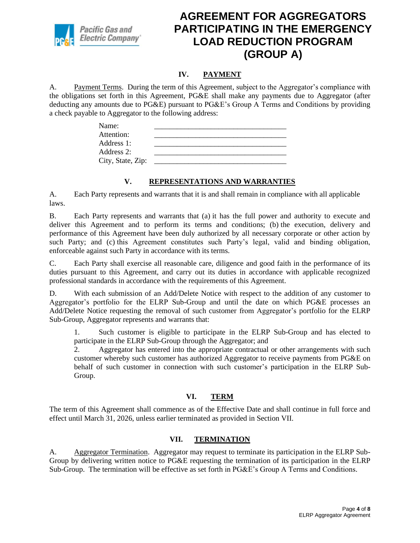

#### **IV. PAYMENT**

A. Payment Terms. During the term of this Agreement, subject to the Aggregator's compliance with the obligations set forth in this Agreement, PG&E shall make any payments due to Aggregator (after deducting any amounts due to PG&E) pursuant to PG&E's Group A Terms and Conditions by providing a check payable to Aggregator to the following address:

| Name:             |  |  |
|-------------------|--|--|
| Attention:        |  |  |
| Address 1:        |  |  |
| Address 2:        |  |  |
| City, State, Zip: |  |  |

#### **V. REPRESENTATIONS AND WARRANTIES**

A. Each Party represents and warrants that it is and shall remain in compliance with all applicable laws.

B. Each Party represents and warrants that (a) it has the full power and authority to execute and deliver this Agreement and to perform its terms and conditions; (b) the execution, delivery and performance of this Agreement have been duly authorized by all necessary corporate or other action by such Party; and (c) this Agreement constitutes such Party's legal, valid and binding obligation, enforceable against such Party in accordance with its terms.

C. Each Party shall exercise all reasonable care, diligence and good faith in the performance of its duties pursuant to this Agreement, and carry out its duties in accordance with applicable recognized professional standards in accordance with the requirements of this Agreement.

D. With each submission of an Add/Delete Notice with respect to the addition of any customer to Aggregator's portfolio for the ELRP Sub-Group and until the date on which PG&E processes an Add/Delete Notice requesting the removal of such customer from Aggregator's portfolio for the ELRP Sub-Group, Aggregator represents and warrants that:

1. Such customer is eligible to participate in the ELRP Sub-Group and has elected to participate in the ELRP Sub-Group through the Aggregator; and

2. Aggregator has entered into the appropriate contractual or other arrangements with such customer whereby such customer has authorized Aggregator to receive payments from PG&E on behalf of such customer in connection with such customer's participation in the ELRP Sub-Group.

#### **VI. TERM**

The term of this Agreement shall commence as of the Effective Date and shall continue in full force and effect until March 31, 2026, unless earlier terminated as provided in Section VII.

#### **VII. TERMINATION**

A. Aggregator Termination. Aggregator may request to terminate its participation in the ELRP Sub-Group by delivering written notice to PG&E requesting the termination of its participation in the ELRP Sub-Group. The termination will be effective as set forth in PG&E's Group A Terms and Conditions.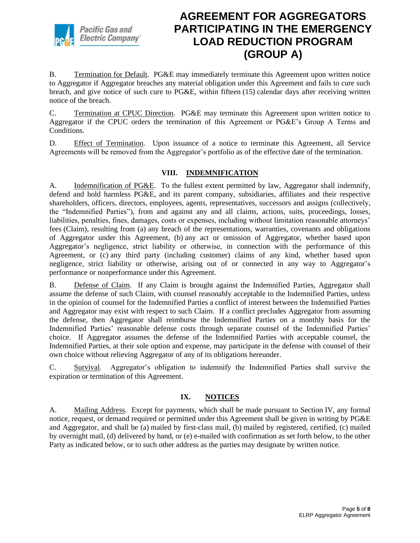

B. Termination for Default. PG&E may immediately terminate this Agreement upon written notice to Aggregator if Aggregator breaches any material obligation under this Agreement and fails to cure such breach, and give notice of such cure to PG&E, within fifteen (15) calendar days after receiving written notice of the breach.

C. Termination at CPUC Direction. PG&E may terminate this Agreement upon written notice to Aggregator if the CPUC orders the termination of this Agreement or PG&E's Group A Terms and Conditions.

D. Effect of Termination. Upon issuance of a notice to terminate this Agreement, all Service Agreements will be removed from the Aggregator's portfolio as of the effective date of the termination.

#### **VIII. INDEMNIFICATION**

A. Indemnification of PG&E. To the fullest extent permitted by law, Aggregator shall indemnify, defend and hold harmless PG&E, and its parent company, subsidiaries, affiliates and their respective shareholders, officers, directors, employees, agents, representatives, successors and assigns (collectively, the "Indemnified Parties"), from and against any and all claims, actions, suits, proceedings, losses, liabilities, penalties, fines, damages, costs or expenses, including without limitation reasonable attorneys' fees (Claim), resulting from (a) any breach of the representations, warranties, covenants and obligations of Aggregator under this Agreement, (b) any act or omission of Aggregator, whether based upon Aggregator's negligence, strict liability or otherwise, in connection with the performance of this Agreement, or (c) any third party (including customer) claims of any kind, whether based upon negligence, strict liability or otherwise, arising out of or connected in any way to Aggregator's performance or nonperformance under this Agreement.

B. Defense of Claim. If any Claim is brought against the Indemnified Parties, Aggregator shall assume the defense of such Claim, with counsel reasonably acceptable to the Indemnified Parties, unless in the opinion of counsel for the Indemnified Parties a conflict of interest between the Indemnified Parties and Aggregator may exist with respect to such Claim. If a conflict precludes Aggregator from assuming the defense, then Aggregator shall reimburse the Indemnified Parties on a monthly basis for the Indemnified Parties' reasonable defense costs through separate counsel of the Indemnified Parties' choice. If Aggregator assumes the defense of the Indemnified Parties with acceptable counsel, the Indemnified Parties, at their sole option and expense, may participate in the defense with counsel of their own choice without relieving Aggregator of any of its obligations hereunder.

C. Survival. Aggregator's obligation to indemnify the Indemnified Parties shall survive the expiration or termination of this Agreement.

#### **IX. NOTICES**

A. Mailing Address. Except for payments, which shall be made pursuant to Section IV, any formal notice, request, or demand required or permitted under this Agreement shall be given in writing by PG&E and Aggregator, and shall be (a) mailed by first-class mail, (b) mailed by registered, certified, (c) mailed by overnight mail, (d) delivered by hand, or (e) e-mailed with confirmation as set forth below, to the other Party as indicated below, or to such other address as the parties may designate by written notice.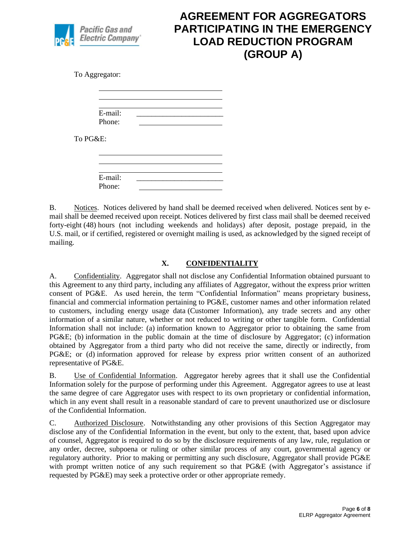

To Aggregator:

| E-mail: |  |  |
|---------|--|--|
| Phone:  |  |  |

To PG&E:

| E-mail: |  |  |
|---------|--|--|
| Phone:  |  |  |
|         |  |  |

B. Notices. Notices delivered by hand shall be deemed received when delivered. Notices sent by email shall be deemed received upon receipt. Notices delivered by first class mail shall be deemed received forty-eight (48) hours (not including weekends and holidays) after deposit, postage prepaid, in the U.S. mail, or if certified, registered or overnight mailing is used, as acknowledged by the signed receipt of mailing.

#### **X. CONFIDENTIALITY**

A. Confidentiality. Aggregator shall not disclose any Confidential Information obtained pursuant to this Agreement to any third party, including any affiliates of Aggregator, without the express prior written consent of PG&E. As used herein, the term "Confidential Information" means proprietary business, financial and commercial information pertaining to PG&E, customer names and other information related to customers, including energy usage data (Customer Information), any trade secrets and any other information of a similar nature, whether or not reduced to writing or other tangible form. Confidential Information shall not include: (a) information known to Aggregator prior to obtaining the same from PG&E; (b) information in the public domain at the time of disclosure by Aggregator; (c) information obtained by Aggregator from a third party who did not receive the same, directly or indirectly, from PG&E; or (d) information approved for release by express prior written consent of an authorized representative of PG&E.

B. Use of Confidential Information. Aggregator hereby agrees that it shall use the Confidential Information solely for the purpose of performing under this Agreement. Aggregator agrees to use at least the same degree of care Aggregator uses with respect to its own proprietary or confidential information, which in any event shall result in a reasonable standard of care to prevent unauthorized use or disclosure of the Confidential Information.

C. Authorized Disclosure. Notwithstanding any other provisions of this Section Aggregator may disclose any of the Confidential Information in the event, but only to the extent, that, based upon advice of counsel, Aggregator is required to do so by the disclosure requirements of any law, rule, regulation or any order, decree, subpoena or ruling or other similar process of any court, governmental agency or regulatory authority. Prior to making or permitting any such disclosure, Aggregator shall provide PG&E with prompt written notice of any such requirement so that PG&E (with Aggregator's assistance if requested by PG&E) may seek a protective order or other appropriate remedy.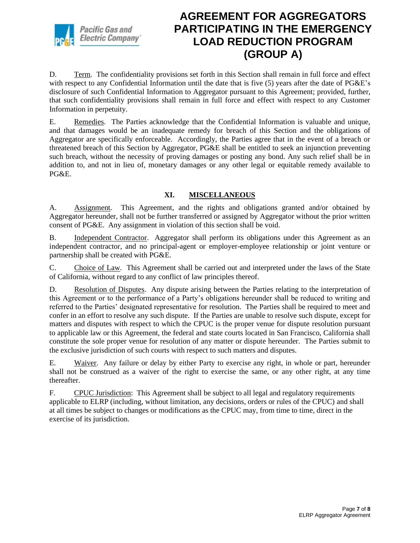

D. Term. The confidentiality provisions set forth in this Section shall remain in full force and effect with respect to any Confidential Information until the date that is five (5) years after the date of PG&E's disclosure of such Confidential Information to Aggregator pursuant to this Agreement; provided, further, that such confidentiality provisions shall remain in full force and effect with respect to any Customer Information in perpetuity.

E. Remedies. The Parties acknowledge that the Confidential Information is valuable and unique, and that damages would be an inadequate remedy for breach of this Section and the obligations of Aggregator are specifically enforceable. Accordingly, the Parties agree that in the event of a breach or threatened breach of this Section by Aggregator, PG&E shall be entitled to seek an injunction preventing such breach, without the necessity of proving damages or posting any bond. Any such relief shall be in addition to, and not in lieu of, monetary damages or any other legal or equitable remedy available to PG&E.

#### **XI. MISCELLANEOUS**

A. Assignment. This Agreement, and the rights and obligations granted and/or obtained by Aggregator hereunder, shall not be further transferred or assigned by Aggregator without the prior written consent of PG&E. Any assignment in violation of this section shall be void.

B. Independent Contractor. Aggregator shall perform its obligations under this Agreement as an independent contractor, and no principal-agent or employer-employee relationship or joint venture or partnership shall be created with PG&E.

C. Choice of Law. This Agreement shall be carried out and interpreted under the laws of the State of California, without regard to any conflict of law principles thereof.

D. Resolution of Disputes. Any dispute arising between the Parties relating to the interpretation of this Agreement or to the performance of a Party's obligations hereunder shall be reduced to writing and referred to the Parties' designated representative for resolution. The Parties shall be required to meet and confer in an effort to resolve any such dispute. If the Parties are unable to resolve such dispute, except for matters and disputes with respect to which the CPUC is the proper venue for dispute resolution pursuant to applicable law or this Agreement, the federal and state courts located in San Francisco, California shall constitute the sole proper venue for resolution of any matter or dispute hereunder. The Parties submit to the exclusive jurisdiction of such courts with respect to such matters and disputes.

E. Waiver. Any failure or delay by either Party to exercise any right, in whole or part, hereunder shall not be construed as a waiver of the right to exercise the same, or any other right, at any time thereafter.

F. CPUC Jurisdiction: This Agreement shall be subject to all legal and regulatory requirements applicable to ELRP (including, without limitation, any decisions, orders or rules of the CPUC) and shall at all times be subject to changes or modifications as the CPUC may, from time to time, direct in the exercise of its jurisdiction.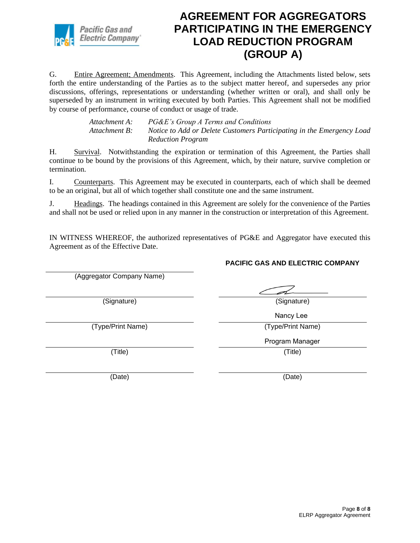

G. Entire Agreement; Amendments. This Agreement, including the Attachments listed below, sets forth the entire understanding of the Parties as to the subject matter hereof, and supersedes any prior discussions, offerings, representations or understanding (whether written or oral), and shall only be superseded by an instrument in writing executed by both Parties. This Agreement shall not be modified by course of performance, course of conduct or usage of trade.

> *Attachment A: PG&E's Group A Terms and Conditions Attachment B: Notice to Add or Delete Customers Participating in the Emergency Load Reduction Program*

H. Survival. Notwithstanding the expiration or termination of this Agreement, the Parties shall continue to be bound by the provisions of this Agreement, which, by their nature, survive completion or termination.

I. Counterparts. This Agreement may be executed in counterparts, each of which shall be deemed to be an original, but all of which together shall constitute one and the same instrument.

J. Headings. The headings contained in this Agreement are solely for the convenience of the Parties and shall not be used or relied upon in any manner in the construction or interpretation of this Agreement.

IN WITNESS WHEREOF, the authorized representatives of PG&E and Aggregator have executed this Agreement as of the Effective Date.

**PACIFIC GAS AND ELECTRIC COMPANY** (Aggregator Company Name) (Signature) (Signature) (Type/Print Name) (Type/Print Name) (Title) (Title) (Date) (Date) Nancy Lee Program Manager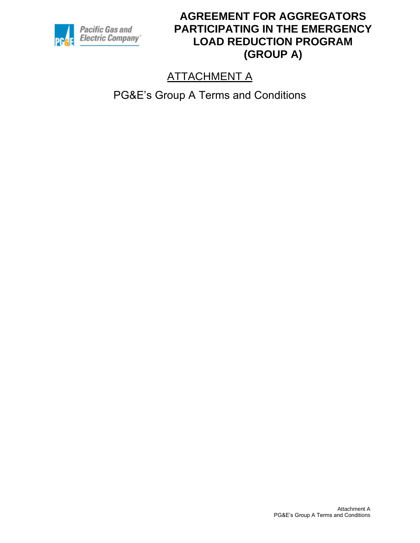

# ATTACHMENT A

PG&E's Group A Terms and Conditions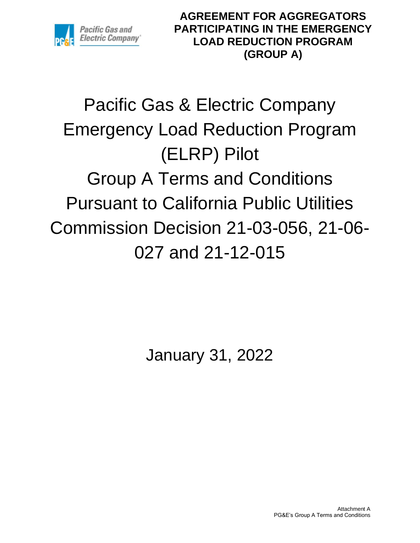

# Pacific Gas & Electric Company Emergency Load Reduction Program (ELRP) Pilot Group A Terms and Conditions Pursuant to California Public Utilities Commission Decision 21-03-056, 21-06- 027 and 21-12-015

January 31, 2022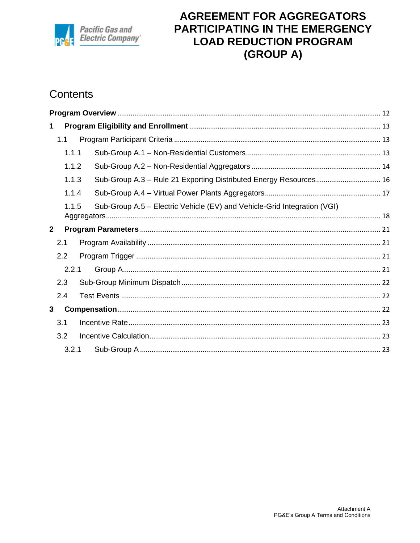

# Contents

| 1            |       |                                                                          |  |
|--------------|-------|--------------------------------------------------------------------------|--|
|              | 1.1   |                                                                          |  |
|              | 1.1.1 |                                                                          |  |
|              | 1.1.2 |                                                                          |  |
|              | 1.1.3 | Sub-Group A.3 - Rule 21 Exporting Distributed Energy Resources 16        |  |
|              | 1.1.4 |                                                                          |  |
|              | 1.1.5 | Sub-Group A.5 – Electric Vehicle (EV) and Vehicle-Grid Integration (VGI) |  |
| $\mathbf{2}$ |       |                                                                          |  |
|              | 2.1   |                                                                          |  |
|              | 2.2   |                                                                          |  |
|              | 2.2.1 |                                                                          |  |
|              | 2.3   |                                                                          |  |
|              | 2.4   |                                                                          |  |
| 3            |       |                                                                          |  |
|              | 3.1   |                                                                          |  |
|              | 3.2   |                                                                          |  |
|              | 3.2.1 |                                                                          |  |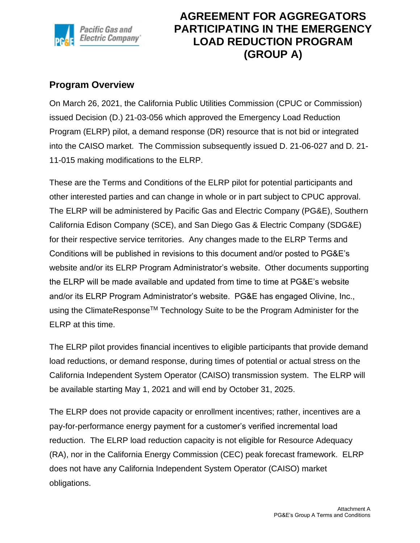

#### <span id="page-11-0"></span>**Program Overview**

On March 26, 2021, the California Public Utilities Commission (CPUC or Commission) issued Decision (D.) 21-03-056 which approved the Emergency Load Reduction Program (ELRP) pilot, a demand response (DR) resource that is not bid or integrated into the CAISO market. The Commission subsequently issued D. 21-06-027 and D. 21- 11-015 making modifications to the ELRP.

These are the Terms and Conditions of the ELRP pilot for potential participants and other interested parties and can change in whole or in part subject to CPUC approval. The ELRP will be administered by Pacific Gas and Electric Company (PG&E), Southern California Edison Company (SCE), and San Diego Gas & Electric Company (SDG&E) for their respective service territories. Any changes made to the ELRP Terms and Conditions will be published in revisions to this document and/or posted to PG&E's website and/or its ELRP Program Administrator's website. Other documents supporting the ELRP will be made available and updated from time to time at PG&E's website and/or its ELRP Program Administrator's website. PG&E has engaged Olivine, Inc., using the ClimateResponseTM Technology Suite to be the Program Administer for the ELRP at this time.

The ELRP pilot provides financial incentives to eligible participants that provide demand load reductions, or demand response, during times of potential or actual stress on the California Independent System Operator (CAISO) transmission system. The ELRP will be available starting May 1, 2021 and will end by October 31, 2025.

The ELRP does not provide capacity or enrollment incentives; rather, incentives are a pay-for-performance energy payment for a customer's verified incremental load reduction. The ELRP load reduction capacity is not eligible for Resource Adequacy (RA), nor in the California Energy Commission (CEC) peak forecast framework. ELRP does not have any California Independent System Operator (CAISO) market obligations.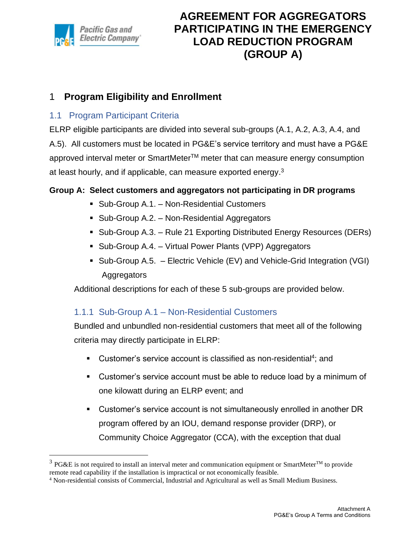

### <span id="page-12-0"></span>1 **Program Eligibility and Enrollment**

#### <span id="page-12-1"></span>1.1 Program Participant Criteria

ELRP eligible participants are divided into several sub-groups (A.1, A.2, A.3, A.4, and A.5). All customers must be located in PG&E's service territory and must have a PG&E approved interval meter or SmartMeter™ meter that can measure energy consumption at least hourly, and if applicable, can measure exported energy.<sup>3</sup>

#### **Group A: Select customers and aggregators not participating in DR programs**

- Sub-Group A.1. Non-Residential Customers
- Sub-Group A.2. Non-Residential Aggregators
- Sub-Group A.3. Rule 21 Exporting Distributed Energy Resources (DERs)
- Sub-Group A.4. Virtual Power Plants (VPP) Aggregators
- Sub-Group A.5. Electric Vehicle (EV) and Vehicle-Grid Integration (VGI) **Aggregators**

Additional descriptions for each of these 5 sub-groups are provided below.

#### <span id="page-12-2"></span>1.1.1 Sub-Group A.1 – Non-Residential Customers

Bundled and unbundled non-residential customers that meet all of the following criteria may directly participate in ELRP:

- **EXEC** Customer's service account is classified as non-residential<sup>4</sup>; and
- Customer's service account must be able to reduce load by a minimum of one kilowatt during an ELRP event; and
- Customer's service account is not simultaneously enrolled in another DR program offered by an IOU, demand response provider (DRP), or Community Choice Aggregator (CCA), with the exception that dual

<sup>&</sup>lt;sup>3</sup> PG&E is not required to install an interval meter and communication equipment or SmartMeter<sup>TM</sup> to provide remote read capability if the installation is impractical or not economically feasible.

<sup>4</sup> Non-residential consists of Commercial, Industrial and Agricultural as well as Small Medium Business.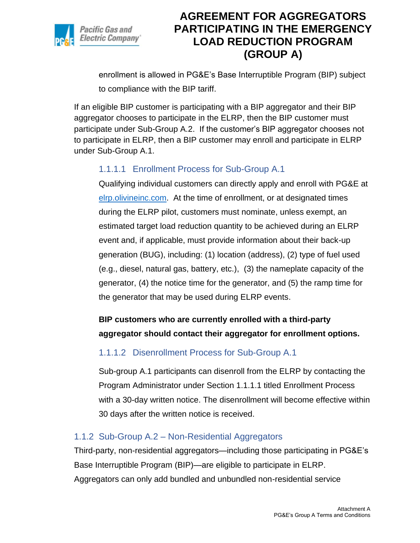

enrollment is allowed in PG&E's Base Interruptible Program (BIP) subject to compliance with the BIP tariff.

If an eligible BIP customer is participating with a BIP aggregator and their BIP aggregator chooses to participate in the ELRP, then the BIP customer must participate under Sub-Group A.2. If the customer's BIP aggregator chooses not to participate in ELRP, then a BIP customer may enroll and participate in ELRP under Sub-Group A.1.

### 1.1.1.1 Enrollment Process for Sub-Group A.1

Qualifying individual customers can directly apply and enroll with PG&E at [elrp.olivineinc.com.](https://nam10.safelinks.protection.outlook.com/?url=http%3A%2F%2Felrp.olivineinc.com%2F&data=04%7C01%7Csscb%40pge.com%7C09d035719f6043271a4108d908cedc16%7C44ae661aece641aabc967c2c85a08941%7C0%7C0%7C637550506815114731%7CUnknown%7CTWFpbGZsb3d8eyJWIjoiMC4wLjAwMDAiLCJQIjoiV2luMzIiLCJBTiI6Ik1haWwiLCJXVCI6Mn0%3D%7C1000&sdata=DOMTDKjH5fUQaO0y6P6AdoaZKhkkRzRMXD8HyYbpnhU%3D&reserved=0) At the time of enrollment, or at designated times during the ELRP pilot, customers must nominate, unless exempt, an estimated target load reduction quantity to be achieved during an ELRP event and, if applicable, must provide information about their back-up generation (BUG), including: (1) location (address), (2) type of fuel used (e.g., diesel, natural gas, battery, etc.), (3) the nameplate capacity of the generator, (4) the notice time for the generator, and (5) the ramp time for the generator that may be used during ELRP events.

### **BIP customers who are currently enrolled with a third-party aggregator should contact their aggregator for enrollment options.**

#### 1.1.1.2 Disenrollment Process for Sub-Group A.1

Sub-group A.1 participants can disenroll from the ELRP by contacting the Program Administrator under Section 1.1.1.1 titled Enrollment Process with a 30-day written notice. The disenrollment will become effective within 30 days after the written notice is received.

#### <span id="page-13-0"></span>1.1.2 Sub-Group A.2 – Non-Residential Aggregators

Third-party, non-residential aggregators—including those participating in PG&E's Base Interruptible Program (BIP)—are eligible to participate in ELRP. Aggregators can only add bundled and unbundled non-residential service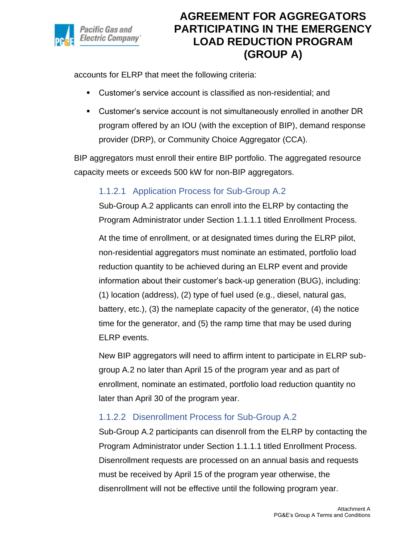

accounts for ELRP that meet the following criteria:

- Customer's service account is classified as non-residential; and
- Customer's service account is not simultaneously enrolled in another DR program offered by an IOU (with the exception of BIP), demand response provider (DRP), or Community Choice Aggregator (CCA).

BIP aggregators must enroll their entire BIP portfolio. The aggregated resource capacity meets or exceeds 500 kW for non-BIP aggregators.

### 1.1.2.1 Application Process for Sub-Group A.2

Sub-Group A.2 applicants can enroll into the ELRP by contacting the Program Administrator under Section 1.1.1.1 titled Enrollment Process.

At the time of enrollment, or at designated times during the ELRP pilot, non-residential aggregators must nominate an estimated, portfolio load reduction quantity to be achieved during an ELRP event and provide information about their customer's back-up generation (BUG), including: (1) location (address), (2) type of fuel used (e.g., diesel, natural gas, battery, etc.), (3) the nameplate capacity of the generator, (4) the notice time for the generator, and (5) the ramp time that may be used during ELRP events.

New BIP aggregators will need to affirm intent to participate in ELRP subgroup A.2 no later than April 15 of the program year and as part of enrollment, nominate an estimated, portfolio load reduction quantity no later than April 30 of the program year.

### 1.1.2.2 Disenrollment Process for Sub-Group A.2

Sub-Group A.2 participants can disenroll from the ELRP by contacting the Program Administrator under Section 1.1.1.1 titled Enrollment Process. Disenrollment requests are processed on an annual basis and requests must be received by April 15 of the program year otherwise, the disenrollment will not be effective until the following program year.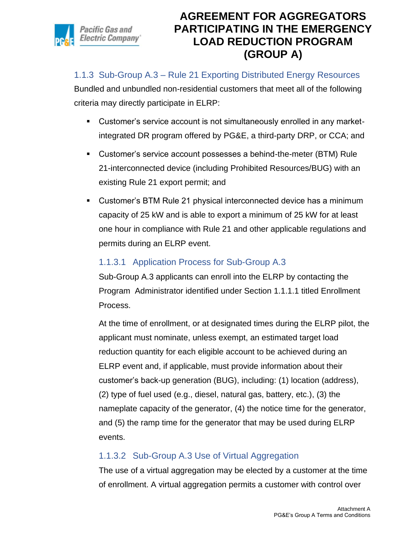

#### <span id="page-15-0"></span>1.1.3 Sub-Group A.3 – Rule 21 Exporting Distributed Energy Resources

Bundled and unbundled non-residential customers that meet all of the following criteria may directly participate in ELRP:

- Customer's service account is not simultaneously enrolled in any marketintegrated DR program offered by PG&E, a third-party DRP, or CCA; and
- Customer's service account possesses a behind-the-meter (BTM) Rule 21-interconnected device (including Prohibited Resources/BUG) with an existing Rule 21 export permit; and
- Customer's BTM Rule 21 physical interconnected device has a minimum capacity of 25 kW and is able to export a minimum of 25 kW for at least one hour in compliance with Rule 21 and other applicable regulations and permits during an ELRP event.

#### 1.1.3.1 Application Process for Sub-Group A.3

Sub-Group A.3 applicants can enroll into the ELRP by contacting the Program Administrator identified under Section 1.1.1.1 titled Enrollment Process.

At the time of enrollment, or at designated times during the ELRP pilot, the applicant must nominate, unless exempt, an estimated target load reduction quantity for each eligible account to be achieved during an ELRP event and, if applicable, must provide information about their customer's back-up generation (BUG), including: (1) location (address), (2) type of fuel used (e.g., diesel, natural gas, battery, etc.), (3) the nameplate capacity of the generator, (4) the notice time for the generator, and (5) the ramp time for the generator that may be used during ELRP events.

### 1.1.3.2 Sub-Group A.3 Use of Virtual Aggregation

The use of a virtual aggregation may be elected by a customer at the time of enrollment. A virtual aggregation permits a customer with control over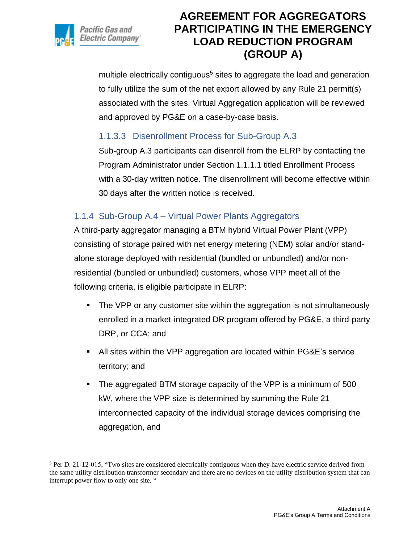

multiple electrically contiguous<sup>5</sup> sites to aggregate the load and generation to fully utilize the sum of the net export allowed by any Rule 21 permit(s) associated with the sites. Virtual Aggregation application will be reviewed and approved by PG&E on a case-by-case basis.

#### 1.1.3.3 Disenrollment Process for Sub-Group A.3

Sub-group A.3 participants can disenroll from the ELRP by contacting the Program Administrator under Section 1.1.1.1 titled Enrollment Process with a 30-day written notice. The disenrollment will become effective within 30 days after the written notice is received.

#### <span id="page-16-0"></span>1.1.4 Sub-Group A.4 – Virtual Power Plants Aggregators

A third-party aggregator managing a BTM hybrid Virtual Power Plant (VPP) consisting of storage paired with net energy metering (NEM) solar and/or standalone storage deployed with residential (bundled or unbundled) and/or nonresidential (bundled or unbundled) customers, whose VPP meet all of the following criteria, is eligible participate in ELRP:

- **•** The VPP or any customer site within the aggregation is not simultaneously enrolled in a market-integrated DR program offered by PG&E, a third-party DRP, or CCA; and
- All sites within the VPP aggregation are located within PG&E's service territory; and
- The aggregated BTM storage capacity of the VPP is a minimum of 500 kW, where the VPP size is determined by summing the Rule 21 interconnected capacity of the individual storage devices comprising the aggregation, and

<sup>5</sup> Per D. 21-12-015, "Two sites are considered electrically contiguous when they have electric service derived from the same utility distribution transformer secondary and there are no devices on the utility distribution system that can interrupt power flow to only one site. "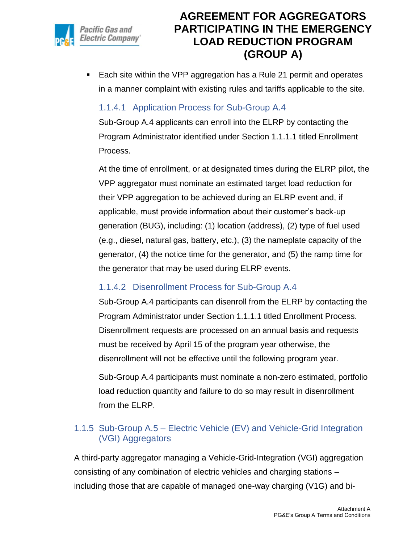

■ Each site within the VPP aggregation has a Rule 21 permit and operates in a manner complaint with existing rules and tariffs applicable to the site.

#### 1.1.4.1 Application Process for Sub-Group A.4

Sub-Group A.4 applicants can enroll into the ELRP by contacting the Program Administrator identified under Section 1.1.1.1 titled Enrollment Process.

At the time of enrollment, or at designated times during the ELRP pilot, the VPP aggregator must nominate an estimated target load reduction for their VPP aggregation to be achieved during an ELRP event and, if applicable, must provide information about their customer's back-up generation (BUG), including: (1) location (address), (2) type of fuel used (e.g., diesel, natural gas, battery, etc.), (3) the nameplate capacity of the generator, (4) the notice time for the generator, and (5) the ramp time for the generator that may be used during ELRP events.

### 1.1.4.2 Disenrollment Process for Sub-Group A.4

Sub-Group A.4 participants can disenroll from the ELRP by contacting the Program Administrator under Section 1.1.1.1 titled Enrollment Process. Disenrollment requests are processed on an annual basis and requests must be received by April 15 of the program year otherwise, the disenrollment will not be effective until the following program year.

Sub-Group A.4 participants must nominate a non-zero estimated, portfolio load reduction quantity and failure to do so may result in disenrollment from the ELRP.

### <span id="page-17-0"></span>1.1.5 Sub-Group A.5 – Electric Vehicle (EV) and Vehicle-Grid Integration (VGI) Aggregators

A third-party aggregator managing a Vehicle-Grid-Integration (VGI) aggregation consisting of any combination of electric vehicles and charging stations – including those that are capable of managed one-way charging (V1G) and bi-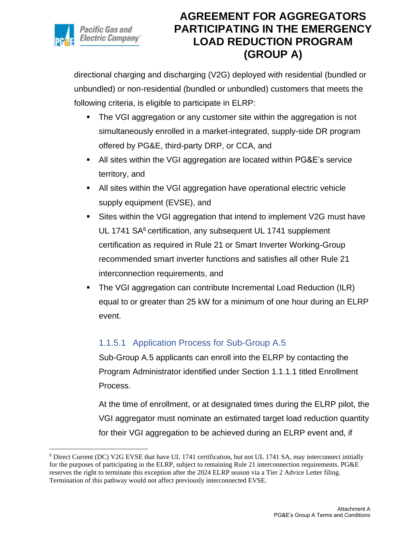

directional charging and discharging (V2G) deployed with residential (bundled or unbundled) or non-residential (bundled or unbundled) customers that meets the following criteria, is eligible to participate in ELRP:

- The VGI aggregation or any customer site within the aggregation is not simultaneously enrolled in a market-integrated, supply-side DR program offered by PG&E, third-party DRP, or CCA, and
- All sites within the VGI aggregation are located within PG&E's service territory, and
- All sites within the VGI aggregation have operational electric vehicle supply equipment (EVSE), and
- Sites within the VGI aggregation that intend to implement V2G must have UL 1741 SA<sup>6</sup> certification, any subsequent UL 1741 supplement certification as required in Rule 21 or Smart Inverter Working-Group recommended smart inverter functions and satisfies all other Rule 21 interconnection requirements, and
- The VGI aggregation can contribute Incremental Load Reduction (ILR) equal to or greater than 25 kW for a minimum of one hour during an ELRP event.

### 1.1.5.1 Application Process for Sub-Group A.5

Sub-Group A.5 applicants can enroll into the ELRP by contacting the Program Administrator identified under Section 1.1.1.1 titled Enrollment Process.

At the time of enrollment, or at designated times during the ELRP pilot, the VGI aggregator must nominate an estimated target load reduction quantity for their VGI aggregation to be achieved during an ELRP event and, if

<sup>6</sup> Direct Current (DC) V2G EVSE that have UL 1741 certification, but not UL 1741 SA, may interconnect initially for the purposes of participating in the ELRP, subject to remaining Rule 21 interconnection requirements. PG&E reserves the right to terminate this exception after the 2024 ELRP season via a Tier 2 Advice Letter filing. Termination of this pathway would not affect previously interconnected EVSE.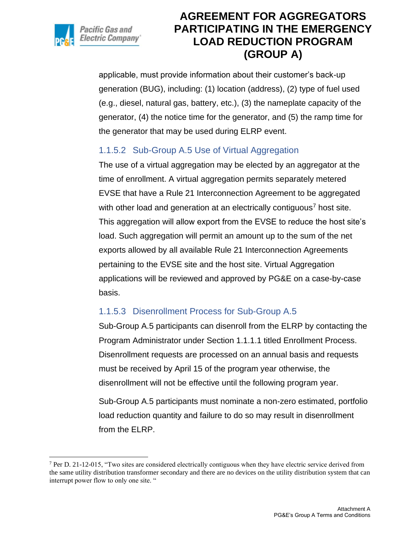

applicable, must provide information about their customer's back-up generation (BUG), including: (1) location (address), (2) type of fuel used (e.g., diesel, natural gas, battery, etc.), (3) the nameplate capacity of the generator, (4) the notice time for the generator, and (5) the ramp time for the generator that may be used during ELRP event.

### 1.1.5.2 Sub-Group A.5 Use of Virtual Aggregation

The use of a virtual aggregation may be elected by an aggregator at the time of enrollment. A virtual aggregation permits separately metered EVSE that have a Rule 21 Interconnection Agreement to be aggregated with other load and generation at an electrically contiguous<sup>7</sup> host site. This aggregation will allow export from the EVSE to reduce the host site's load. Such aggregation will permit an amount up to the sum of the net exports allowed by all available Rule 21 Interconnection Agreements pertaining to the EVSE site and the host site. Virtual Aggregation applications will be reviewed and approved by PG&E on a case-by-case basis.

### 1.1.5.3 Disenrollment Process for Sub-Group A.5

Sub-Group A.5 participants can disenroll from the ELRP by contacting the Program Administrator under Section 1.1.1.1 titled Enrollment Process. Disenrollment requests are processed on an annual basis and requests must be received by April 15 of the program year otherwise, the disenrollment will not be effective until the following program year.

Sub-Group A.5 participants must nominate a non-zero estimated, portfolio load reduction quantity and failure to do so may result in disenrollment from the ELRP.

 $7$  Per D. 21-12-015, "Two sites are considered electrically contiguous when they have electric service derived from the same utility distribution transformer secondary and there are no devices on the utility distribution system that can interrupt power flow to only one site. "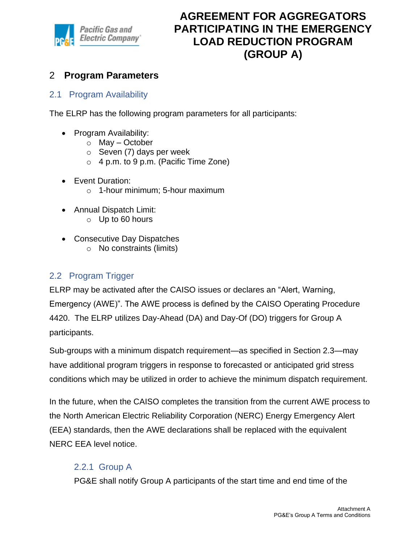

### <span id="page-20-0"></span>2 **Program Parameters**

#### <span id="page-20-1"></span>2.1 Program Availability

The ELRP has the following program parameters for all participants:

- Program Availability:
	- $\circ$  May October
	- $\circ$  Seven (7) days per week
	- o 4 p.m. to 9 p.m. (Pacific Time Zone)
- Event Duration:
	- o 1-hour minimum; 5-hour maximum
- Annual Dispatch Limit:
	- $\circ$  Up to 60 hours
- Consecutive Day Dispatches
	- o No constraints (limits)

#### <span id="page-20-2"></span>2.2 Program Trigger

ELRP may be activated after the CAISO issues or declares an "Alert, Warning, Emergency (AWE)". The AWE process is defined by the CAISO Operating Procedure 4420. The ELRP utilizes Day-Ahead (DA) and Day-Of (DO) triggers for Group A participants.

Sub-groups with a minimum dispatch requirement—as specified in Section 2.3—may have additional program triggers in response to forecasted or anticipated grid stress conditions which may be utilized in order to achieve the minimum dispatch requirement.

In the future, when the CAISO completes the transition from the current AWE process to the North American Electric Reliability Corporation (NERC) Energy Emergency Alert (EEA) standards, then the AWE declarations shall be replaced with the equivalent NERC EEA level notice.

#### <span id="page-20-3"></span>2.2.1 Group A

PG&E shall notify Group A participants of the start time and end time of the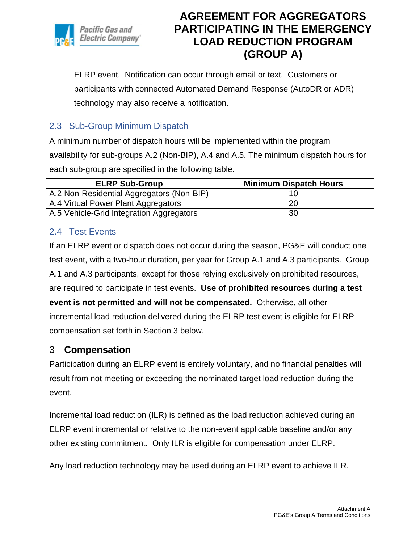

ELRP event. Notification can occur through email or text. Customers or participants with connected Automated Demand Response (AutoDR or ADR) technology may also receive a notification.

#### <span id="page-21-0"></span>2.3 Sub-Group Minimum Dispatch

A minimum number of dispatch hours will be implemented within the program availability for sub-groups A.2 (Non-BIP), A.4 and A.5. The minimum dispatch hours for each sub-group are specified in the following table.

| <b>ELRP Sub-Group</b>                     | <b>Minimum Dispatch Hours</b> |
|-------------------------------------------|-------------------------------|
| A.2 Non-Residential Aggregators (Non-BIP) | 16                            |
| A.4 Virtual Power Plant Aggregators       | 20                            |
| A.5 Vehicle-Grid Integration Aggregators  | 30                            |

#### <span id="page-21-1"></span>2.4 Test Events

If an ELRP event or dispatch does not occur during the season, PG&E will conduct one test event, with a two-hour duration, per year for Group A.1 and A.3 participants. Group A.1 and A.3 participants, except for those relying exclusively on prohibited resources, are required to participate in test events. **Use of prohibited resources during a test event is not permitted and will not be compensated.** Otherwise, all other incremental load reduction delivered during the ELRP test event is eligible for ELRP compensation set forth in Section 3 below.

### <span id="page-21-2"></span>3 **Compensation**

Participation during an ELRP event is entirely voluntary, and no financial penalties will result from not meeting or exceeding the nominated target load reduction during the event.

Incremental load reduction (ILR) is defined as the load reduction achieved during an ELRP event incremental or relative to the non-event applicable baseline and/or any other existing commitment. Only ILR is eligible for compensation under ELRP.

Any load reduction technology may be used during an ELRP event to achieve ILR.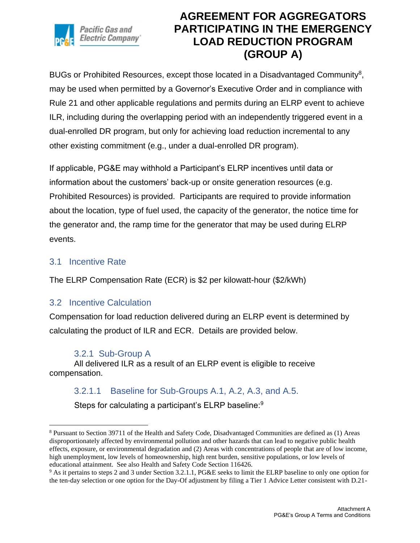

BUGs or Prohibited Resources, except those located in a Disadvantaged Community<sup>8</sup>, may be used when permitted by a Governor's Executive Order and in compliance with Rule 21 and other applicable regulations and permits during an ELRP event to achieve ILR, including during the overlapping period with an independently triggered event in a dual-enrolled DR program, but only for achieving load reduction incremental to any other existing commitment (e.g., under a dual-enrolled DR program).

If applicable, PG&E may withhold a Participant's ELRP incentives until data or information about the customers' back-up or onsite generation resources (e.g. Prohibited Resources) is provided. Participants are required to provide information about the location, type of fuel used, the capacity of the generator, the notice time for the generator and, the ramp time for the generator that may be used during ELRP events.

#### <span id="page-22-0"></span>3.1 Incentive Rate

The ELRP Compensation Rate (ECR) is \$2 per kilowatt-hour (\$2/kWh)

#### <span id="page-22-1"></span>3.2 Incentive Calculation

Compensation for load reduction delivered during an ELRP event is determined by calculating the product of ILR and ECR. Details are provided below.

#### 3.2.1 Sub-Group A

<span id="page-22-2"></span>All delivered ILR as a result of an ELRP event is eligible to receive compensation.

#### 3.2.1.1 Baseline for Sub-Groups A.1, A.2, A.3, and A.5.

Steps for calculating a participant's ELRP baseline:<sup>9</sup>

<sup>8</sup> Pursuant to Section 39711 of the Health and Safety Code, Disadvantaged Communities are defined as (1) Areas disproportionately affected by environmental pollution and other hazards that can lead to negative public health effects, exposure, or environmental degradation and (2) Areas with concentrations of people that are of low income, high unemployment, low levels of homeownership, high rent burden, sensitive populations, or low levels of educational attainment. See also Health and Safety Code Section 116426.

<sup>9</sup> As it pertains to steps 2 and 3 under Section 3.2.1.1, PG&E seeks to limit the ELRP baseline to only one option for the ten-day selection or one option for the Day-Of adjustment by filing a Tier 1 Advice Letter consistent with D.21-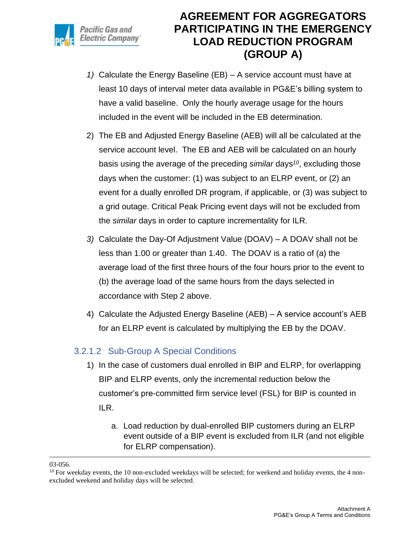

- *1)* Calculate the Energy Baseline (EB) A service account must have at least 10 days of interval meter data available in PG&E's billing system to have a valid baseline. Only the hourly average usage for the hours included in the event will be included in the EB determination.
- 2) The EB and Adjusted Energy Baseline (AEB) will all be calculated at the service account level. The EB and AEB will be calculated on an hourly basis using the average of the preceding *similar* days*<sup>10</sup>*, excluding those days when the customer: (1) was subject to an ELRP event, or (2) an event for a dually enrolled DR program, if applicable, or (3) was subject to a grid outage. Critical Peak Pricing event days will not be excluded from the *similar* days in order to capture incrementality for ILR.
- *3)* Calculate the Day-Of Adjustment Value (DOAV) A DOAV shall not be less than 1.00 or greater than 1.40. The DOAV is a ratio of (a) the average load of the first three hours of the four hours prior to the event to (b) the average load of the same hours from the days selected in accordance with Step 2 above.
- 4) Calculate the Adjusted Energy Baseline (AEB) A service account's AEB for an ELRP event is calculated by multiplying the EB by the DOAV.

### 3.2.1.2 Sub-Group A Special Conditions

- 1) In the case of customers dual enrolled in BIP and ELRP, for overlapping BIP and ELRP events, only the incremental reduction below the customer's pre-committed firm service level (FSL) for BIP is counted in ILR.
	- a. Load reduction by dual-enrolled BIP customers during an ELRP event outside of a BIP event is excluded from ILR (and not eligible for ELRP compensation).

<sup>03-056.</sup>

 $10$  For weekday events, the 10 non-excluded weekdays will be selected; for weekend and holiday events, the 4 nonexcluded weekend and holiday days will be selected.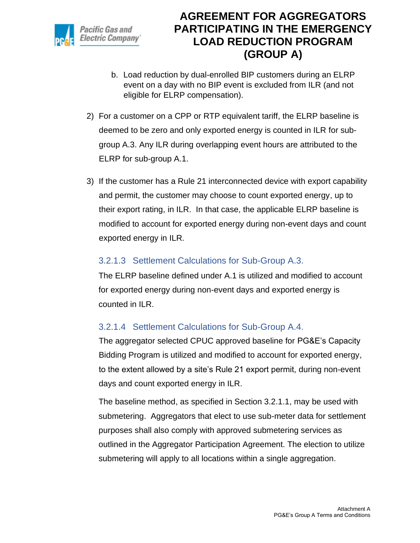

- b. Load reduction by dual-enrolled BIP customers during an ELRP event on a day with no BIP event is excluded from ILR (and not eligible for ELRP compensation).
- 2) For a customer on a CPP or RTP equivalent tariff, the ELRP baseline is deemed to be zero and only exported energy is counted in ILR for subgroup A.3. Any ILR during overlapping event hours are attributed to the ELRP for sub-group A.1.
- 3) If the customer has a Rule 21 interconnected device with export capability and permit, the customer may choose to count exported energy, up to their export rating, in ILR. In that case, the applicable ELRP baseline is modified to account for exported energy during non-event days and count exported energy in ILR.

#### 3.2.1.3 Settlement Calculations for Sub-Group A.3.

The ELRP baseline defined under A.1 is utilized and modified to account for exported energy during non-event days and exported energy is counted in ILR.

### 3.2.1.4 Settlement Calculations for Sub-Group A.4.

The aggregator selected CPUC approved baseline for PG&E's Capacity Bidding Program is utilized and modified to account for exported energy, to the extent allowed by a site's Rule 21 export permit, during non-event days and count exported energy in ILR.

The baseline method, as specified in Section 3.2.1.1, may be used with submetering. Aggregators that elect to use sub-meter data for settlement purposes shall also comply with approved submetering services as outlined in the Aggregator Participation Agreement. The election to utilize submetering will apply to all locations within a single aggregation.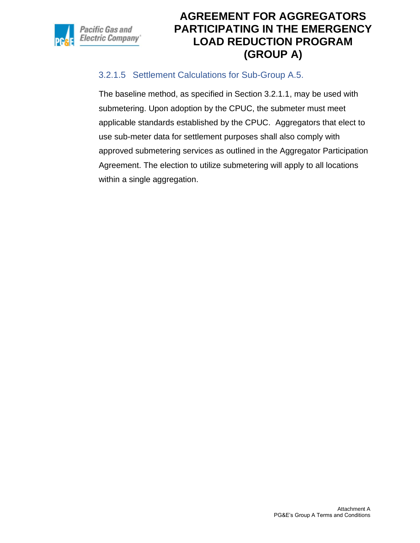

### 3.2.1.5 Settlement Calculations for Sub-Group A.5.

The baseline method, as specified in Section 3.2.1.1, may be used with submetering. Upon adoption by the CPUC, the submeter must meet applicable standards established by the CPUC. Aggregators that elect to use sub-meter data for settlement purposes shall also comply with approved submetering services as outlined in the Aggregator Participation Agreement. The election to utilize submetering will apply to all locations within a single aggregation.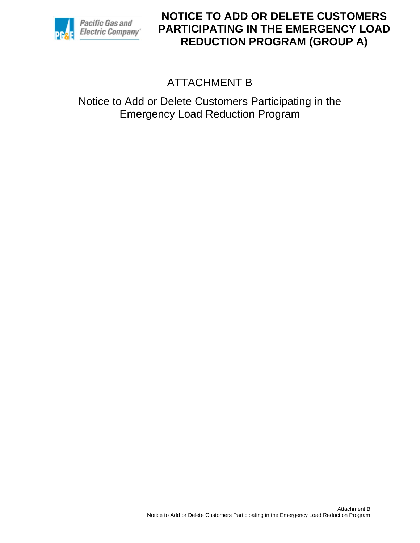

# ATTACHMENT B

Notice to Add or Delete Customers Participating in the Emergency Load Reduction Program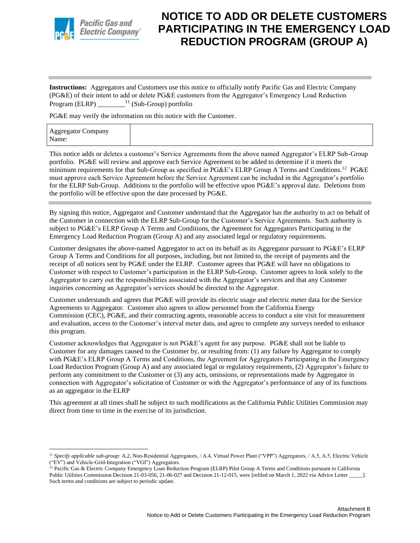

**Instructions:** Aggregators and Customers use this notice to officially notify Pacific Gas and Electric Company (PG&E) of their intent to add or delete PG&E customers from the Aggregator's Emergency Load Reduction Program (ELRP) \_\_\_\_\_\_\_\_<sup>11</sup> (Sub-Group) portfolio

PG&E may verify the information on this notice with the Customer.

| <b>Aggregator Company</b><br>Name: |  |  |  |
|------------------------------------|--|--|--|
|------------------------------------|--|--|--|

This notice adds or deletes a customer's Service Agreements from the above named Aggregator's ELRP Sub-Group portfolio. PG&E will review and approve each Service Agreement to be added to determine if it meets the minimum requirements for that Sub-Group as specified in PG&E's ELRP Group A Terms and Conditions.<sup>12</sup> PG&E must approve each Service Agreement before the Service Agreement can be included in the Aggregator's portfolio for the ELRP Sub-Group. Additions to the portfolio will be effective upon PG&E's approval date. Deletions from the portfolio will be effective upon the date processed by PG&E.

By signing this notice, Aggregator and Customer understand that the Aggregator has the authority to act on behalf of the Customer in connection with the ELRP Sub-Group for the Customer's Service Agreements. Such authority is subject to PG&E's ELRP Group A Terms and Conditions, the Agreement for Aggregators Participating in the Emergency Load Reduction Program (Group A) and any associated legal or regulatory requirements.

Customer designates the above-named Aggregator to act on its behalf as its Aggregator pursuant to PG&E's ELRP Group A Terms and Conditions for all purposes, including, but not limited to, the receipt of payments and the receipt of all notices sent by PG&E under the ELRP. Customer agrees that PG&E will have no obligations to Customer with respect to Customer's participation in the ELRP Sub-Group. Customer agrees to look solely to the Aggregator to carry out the responsibilities associated with the Aggregator's services and that any Customer inquiries concerning an Aggregator's services should be directed to the Aggregator.

Customer understands and agrees that PG&E will provide its electric usage and electric meter data for the Service Agreements to Aggregator. Customer also agrees to allow personnel from the California Energy Commission (CEC), PG&E, and their contracting agents, reasonable access to conduct a site visit for measurement and evaluation, access to the Customer's interval meter data, and agree to complete any surveys needed to enhance this program.

Customer acknowledges that Aggregator is not PG&E's agent for any purpose. PG&E shall not be liable to Customer for any damages caused to the Customer by, or resulting from: (1) any failure by Aggregator to comply with PG&E's ELRP Group A Terms and Conditions, the Agreement for Aggregators Participating in the Emergency Load Reduction Program (Group A) and any associated legal or regulatory requirements, (2) Aggregator's failure to perform any commitment to the Customer or (3) any acts, omissions, or representations made by Aggregator in connection with Aggregator's solicitation of Customer or with the Aggregator's performance of any of its functions as an aggregator in the ELRP

This agreement at all times shall be subject to such modifications as the California Public Utilities Commission may direct from time to time in the exercise of its jurisdiction.

<sup>11</sup> *Specify applicable sub-group:* A.2, Non-Residential Aggregators, / A.4, Virtual Power Plant ("VPP") Aggregators, / A.5, A.5, Electric Vehicle ("EV") and Vehicle-Grid-Integration ("VGI") Aggregators.

<sup>&</sup>lt;sup>12</sup> Pacific Gas & Electric Company Emergency Loan Reduction Program (ELRP) Pilot Group A Terms and Conditions pursuant to California Public Utilities Commission Decision 21-03-056, 21-06-027 and Decision 21-12-015, were [refiled on March 1, 2022 via Advice Letter \_\_\_\_\_]. Such terms and conditions are subject to periodic update.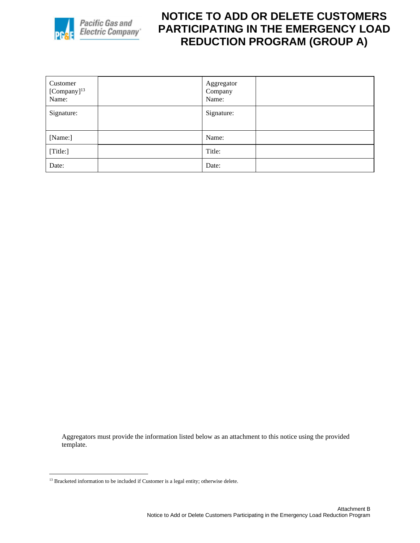

| Customer<br>$[Compar]$ <sup>13</sup><br>Name: | Aggregator<br>Company<br>Name: |  |
|-----------------------------------------------|--------------------------------|--|
| Signature:                                    | Signature:                     |  |
| [Name:]                                       | Name:                          |  |
| [Title:]                                      | Title:                         |  |
| Date:                                         | Date:                          |  |

Aggregators must provide the information listed below as an attachment to this notice using the provided template.

<sup>&</sup>lt;sup>13</sup> Bracketed information to be included if Customer is a legal entity; otherwise delete.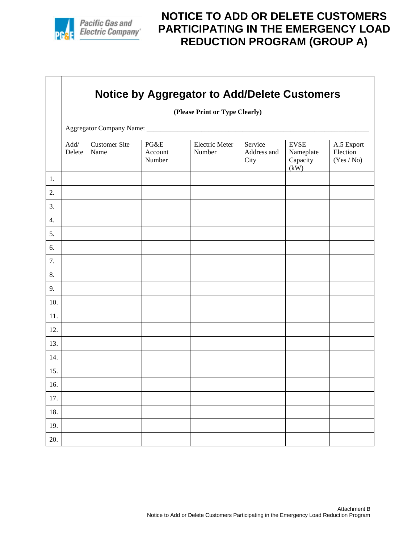

 $\Gamma$ 

⊤

# **NOTICE TO ADD OR DELETE CUSTOMERS PARTICIPATING IN THE EMERGENCY LOAD REDUCTION PROGRAM (GROUP A)**

|     | <b>Notice by Aggregator to Add/Delete Customers</b> |                                |                           |                                 |                                |                                              |                                      |  |  |  |  |  |
|-----|-----------------------------------------------------|--------------------------------|---------------------------|---------------------------------|--------------------------------|----------------------------------------------|--------------------------------------|--|--|--|--|--|
|     |                                                     | (Please Print or Type Clearly) |                           |                                 |                                |                                              |                                      |  |  |  |  |  |
|     |                                                     |                                |                           |                                 |                                |                                              |                                      |  |  |  |  |  |
|     | $\mathbf{Add}/$<br>Delete                           | <b>Customer Site</b><br>Name   | PG&E<br>Account<br>Number | <b>Electric Meter</b><br>Number | Service<br>Address and<br>City | <b>EVSE</b><br>Nameplate<br>Capacity<br>(kW) | A.5 Export<br>Election<br>(Yes / No) |  |  |  |  |  |
| 1.  |                                                     |                                |                           |                                 |                                |                                              |                                      |  |  |  |  |  |
| 2.  |                                                     |                                |                           |                                 |                                |                                              |                                      |  |  |  |  |  |
| 3.  |                                                     |                                |                           |                                 |                                |                                              |                                      |  |  |  |  |  |
| 4.  |                                                     |                                |                           |                                 |                                |                                              |                                      |  |  |  |  |  |
| 5.  |                                                     |                                |                           |                                 |                                |                                              |                                      |  |  |  |  |  |
| 6.  |                                                     |                                |                           |                                 |                                |                                              |                                      |  |  |  |  |  |
| 7.  |                                                     |                                |                           |                                 |                                |                                              |                                      |  |  |  |  |  |
| 8.  |                                                     |                                |                           |                                 |                                |                                              |                                      |  |  |  |  |  |
| 9.  |                                                     |                                |                           |                                 |                                |                                              |                                      |  |  |  |  |  |
| 10. |                                                     |                                |                           |                                 |                                |                                              |                                      |  |  |  |  |  |
| 11. |                                                     |                                |                           |                                 |                                |                                              |                                      |  |  |  |  |  |
| 12. |                                                     |                                |                           |                                 |                                |                                              |                                      |  |  |  |  |  |
| 13. |                                                     |                                |                           |                                 |                                |                                              |                                      |  |  |  |  |  |
| 14. |                                                     |                                |                           |                                 |                                |                                              |                                      |  |  |  |  |  |
| 15. |                                                     |                                |                           |                                 |                                |                                              |                                      |  |  |  |  |  |
| 16. |                                                     |                                |                           |                                 |                                |                                              |                                      |  |  |  |  |  |
| 17. |                                                     |                                |                           |                                 |                                |                                              |                                      |  |  |  |  |  |
| 18. |                                                     |                                |                           |                                 |                                |                                              |                                      |  |  |  |  |  |
| 19. |                                                     |                                |                           |                                 |                                |                                              |                                      |  |  |  |  |  |
| 20. |                                                     |                                |                           |                                 |                                |                                              |                                      |  |  |  |  |  |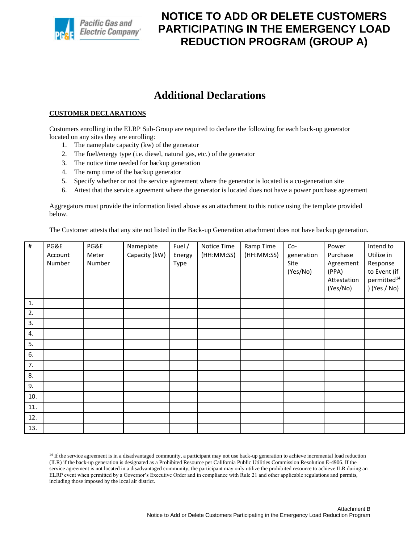

### **Additional Declarations**

#### **CUSTOMER DECLARATIONS**

Customers enrolling in the ELRP Sub-Group are required to declare the following for each back-up generator located on any sites they are enrolling:

- 1. The nameplate capacity (kw) of the generator
- 2. The fuel/energy type (i.e. diesel, natural gas, etc.) of the generator
- 3. The notice time needed for backup generation
- 4. The ramp time of the backup generator
- 5. Specify whether or not the service agreement where the generator is located is a co-generation site
- 6. Attest that the service agreement where the generator is located does not have a power purchase agreement

Aggregators must provide the information listed above as an attachment to this notice using the template provided below.

The Customer attests that any site not listed in the Back-up Generation attachment does not have backup generation.

| $\#$ | PG&E    | PG&E   | Nameplate     | Fuel / | Notice Time | Ramp Time  | Co-        | Power       | Intend to               |
|------|---------|--------|---------------|--------|-------------|------------|------------|-------------|-------------------------|
|      | Account | Meter  | Capacity (kW) | Energy | (HH:MM:SS)  | (HH:MM:SS) | generation | Purchase    | Utilize in              |
|      | Number  | Number |               | Type   |             |            | Site       | Agreement   | Response                |
|      |         |        |               |        |             |            | (Yes/No)   | (PPA)       | to Event (if            |
|      |         |        |               |        |             |            |            | Attestation | permitted <sup>14</sup> |
|      |         |        |               |        |             |            |            | (Yes/No)    | ) (Yes / No)            |
| 1.   |         |        |               |        |             |            |            |             |                         |
| 2.   |         |        |               |        |             |            |            |             |                         |
| 3.   |         |        |               |        |             |            |            |             |                         |
| 4.   |         |        |               |        |             |            |            |             |                         |
| 5.   |         |        |               |        |             |            |            |             |                         |
| 6.   |         |        |               |        |             |            |            |             |                         |
| 7.   |         |        |               |        |             |            |            |             |                         |
| 8.   |         |        |               |        |             |            |            |             |                         |
| 9.   |         |        |               |        |             |            |            |             |                         |
| 10.  |         |        |               |        |             |            |            |             |                         |
| 11.  |         |        |               |        |             |            |            |             |                         |
| 12.  |         |        |               |        |             |            |            |             |                         |
| 13.  |         |        |               |        |             |            |            |             |                         |

<sup>&</sup>lt;sup>14</sup> If the service agreement is in a disadvantaged community, a participant may not use back-up generation to achieve incremental load reduction (ILR) if the back-up generation is designated as a Prohibited Resource per California Public Utilities Commission Resolution E-4906. If the service agreement is not located in a disadvantaged community, the participant may only utilize the prohibited resource to achieve ILR during an ELRP event when permitted by a Governor's Executive Order and in compliance with Rule 21 and other applicable regulations and permits, including those imposed by the local air district.